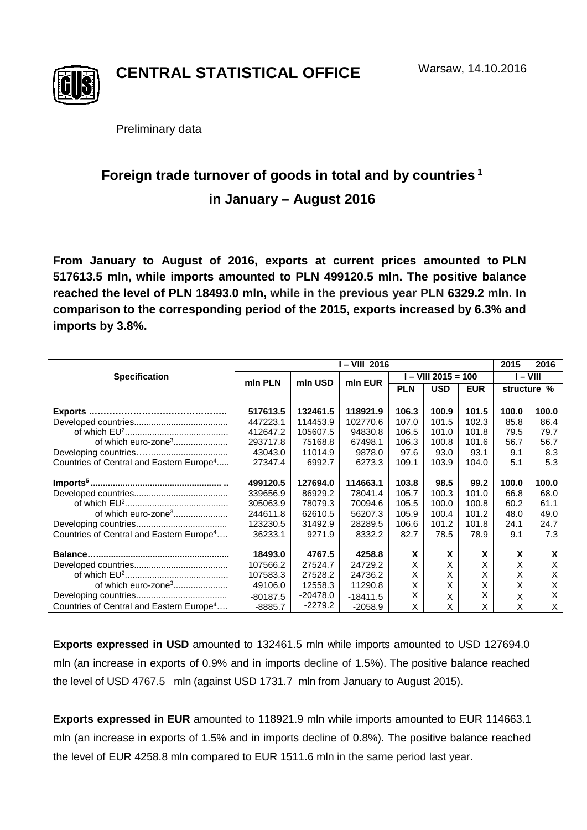

**CENTRAL STATISTICAL OFFICE**

Preliminary data

## **Foreign trade turnover of goods in total and by countries <sup>1</sup> in January – August 2016**

**From January to August of 2016, exports at current prices amounted to PLN 517613.5 mln, while imports amounted to PLN 499120.5 mln. The positive balance reached the level of PLN 18493.0 mln, while in the previous year PLN 6329.2 mln. In comparison to the corresponding period of the 2015, exports increased by 6.3% and imports by 3.8%.**

|                                                      | I – VIII 2016 |            |            |                     |            |            | 2015     | 2016        |
|------------------------------------------------------|---------------|------------|------------|---------------------|------------|------------|----------|-------------|
| <b>Specification</b>                                 | min PLN       | mln USD    | min EUR    | I – VIII 2015 = 100 |            |            | I – VIII |             |
|                                                      |               |            |            | <b>PLN</b>          | <b>USD</b> | <b>EUR</b> |          | structure % |
|                                                      |               |            |            |                     |            |            |          |             |
| Exports.                                             | 517613.5      | 132461.5   | 118921.9   | 106.3               | 100.9      | 101.5      | 100.0    | 100.0       |
|                                                      | 447223.1      | 114453.9   | 102770.6   | 107.0               | 101.5      | 102.3      | 85.8     | 86.4        |
|                                                      | 412647.2      | 105607.5   | 94830.8    | 106.5               | 101.0      | 101.8      | 79.5     | 79.7        |
| of which euro-zone <sup>3</sup>                      | 293717.8      | 75168.8    | 67498.1    | 106.3               | 100.8      | 101.6      | 56.7     | 56.7        |
|                                                      | 43043.0       | 11014.9    | 9878.0     | 97.6                | 93.0       | 93.1       | 9.1      | 8.3         |
| Countries of Central and Eastern Europe <sup>4</sup> | 27347.4       | 6992.7     | 6273.3     | 109.1               | 103.9      | 104.0      | 5.1      | 5.3         |
|                                                      | 499120.5      | 127694.0   | 114663.1   | 103.8               | 98.5       | 99.2       | 100.0    | 100.0       |
|                                                      | 339656.9      | 86929.2    | 78041.4    | 105.7               | 100.3      | 101.0      | 66.8     | 68.0        |
|                                                      | 305063.9      | 78079.3    | 70094.6    | 105.5               | 100.0      | 100.8      | 60.2     | 61.1        |
| of which euro-zone <sup>3</sup>                      | 244611.8      | 62610.5    | 56207.3    | 105.9               | 100.4      | 101.2      | 48.0     | 49.0        |
|                                                      | 123230.5      | 31492.9    | 28289.5    | 106.6               | 101.2      | 101.8      | 24.1     | 24.7        |
| Countries of Central and Eastern Europe <sup>4</sup> | 36233.1       | 9271.9     | 8332.2     | 82.7                | 78.5       | 78.9       | 9.1      | 7.3         |
|                                                      | 18493.0       | 4767.5     | 4258.8     | X                   | X          | X          | X        | X           |
|                                                      | 107566.2      | 27524.7    | 24729.2    | X                   | Х          | Х          | X        | X           |
|                                                      | 107583.3      | 27528.2    | 24736.2    | Χ                   | Х          | Χ          | X        | Χ           |
| of which euro-zone <sup>3</sup>                      | 49106.0       | 12558.3    | 11290.8    | Χ                   | X          | Χ          | X        | X           |
|                                                      |               | $-20478.0$ |            | Χ                   |            | Χ          |          | X           |
|                                                      | $-80187.5$    | $-2279.2$  | $-18411.5$ |                     | X          |            | X        |             |
| Countries of Central and Eastern Europe <sup>4</sup> | $-8885.7$     |            | $-2058.9$  | X                   | X          | X          | X        | X           |

**Exports expressed in USD** amounted to 132461.5 mln while imports amounted to USD 127694.0 mln (an increase in exports of 0.9% and in imports decline of 1.5%). The positive balance reached the level of USD 4767.5 mln (against USD 1731.7 mln from January to August 2015).

**Exports expressed in EUR** amounted to 118921.9 mln while imports amounted to EUR 114663.1 mln (an increase in exports of 1.5% and in imports decline of 0.8%). The positive balance reached the level of EUR 4258.8 mln compared to EUR 1511.6 mln in the same period last year.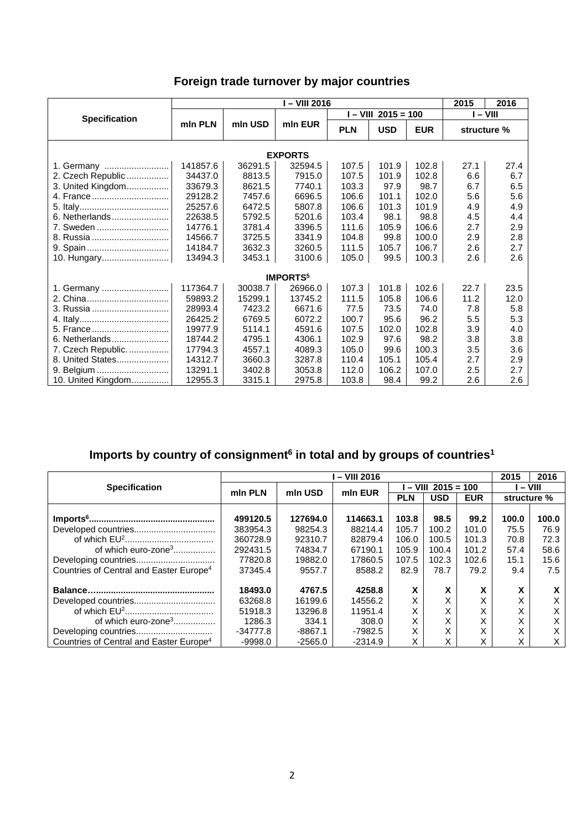| Foreign trade turnover by major countries |  |  |  |
|-------------------------------------------|--|--|--|
|-------------------------------------------|--|--|--|

| I – VIII 2016              |          |         |         |            |                       |            |             | 2016 |  |  |
|----------------------------|----------|---------|---------|------------|-----------------------|------------|-------------|------|--|--|
|                            |          |         |         |            | $I - VIII$ 2015 = 100 | $-$ VIII   |             |      |  |  |
| <b>Specification</b>       | min PLN  | mln USD | mln EUR | <b>PLN</b> | <b>USD</b>            | <b>EUR</b> | structure % |      |  |  |
| <b>EXPORTS</b>             |          |         |         |            |                       |            |             |      |  |  |
| 1. Germany                 | 141857.6 | 36291.5 | 32594.5 | 107.5      | 101.9                 | 102.8      | 27.1        | 27.4 |  |  |
| 2. Czech Republic          | 34437.0  | 8813.5  | 7915.0  | 107.5      | 101.9                 | 102.8      | 6.6         | 6.7  |  |  |
| 3. United Kingdom          | 33679.3  | 8621.5  | 7740.1  | 103.3      | 97.9                  | 98.7       | 6.7         | 6.5  |  |  |
| 4. France                  | 29128.2  | 7457.6  | 6696.5  | 106.6      | 101.1                 | 102.0      | 5.6         | 5.6  |  |  |
|                            | 25257.6  | 6472.5  | 5807.8  | 106.6      | 101.3                 | 101.9      | 4.9         | 4.9  |  |  |
| 6. Netherlands             | 22638.5  | 5792.5  | 5201.6  | 103.4      | 98.1                  | 98.8       | 4.5         | 4.4  |  |  |
| 7. Sweden                  | 14776.1  | 3781.4  | 3396.5  | 111.6      | 105.9                 | 106.6      | 2.7         | 2.9  |  |  |
| 8. Russia                  | 14566.7  | 3725.5  | 3341.9  | 104.8      | 99.8                  | 100.0      | 2.9         | 2.8  |  |  |
|                            | 14184.7  | 3632.3  | 3260.5  | 111.5      | 105.7                 | 106.7      | 2.6         | 2.7  |  |  |
|                            | 13494.3  | 3453.1  | 3100.6  | 105.0      | 99.5                  | 100.3      | 2.6         | 2.6  |  |  |
| <b>IMPORTS<sup>5</sup></b> |          |         |         |            |                       |            |             |      |  |  |
| 1. Germany                 | 117364.7 | 30038.7 | 26966.0 | 107.3      | 101.8                 | 102.6      | 22.7        | 23.5 |  |  |
|                            | 59893.2  | 15299.1 | 13745.2 | 111.5      | 105.8                 | 106.6      | 11.2        | 12.0 |  |  |
| 3. Russia                  | 28993.4  | 7423.2  | 6671.6  | 77.5       | 73.5                  | 74.0       | 7.8         | 5.8  |  |  |
|                            | 26425.2  | 6769.5  | 6072.2  | 100.7      | 95.6                  | 96.2       | 5.5         | 5.3  |  |  |
| 5. France                  | 19977.9  | 5114.1  | 4591.6  | 107.5      | 102.0                 | 102.8      | 3.9         | 4.0  |  |  |
| 6. Netherlands             | 18744.2  | 4795.1  | 4306.1  | 102.9      | 97.6                  | 98.2       | 3.8         | 3.8  |  |  |
| 7. Czech Republic.         | 17794.3  | 4557.1  | 4089.3  | 105.0      | 99.6                  | 100.3      | 3.5         | 3.6  |  |  |
| 8. United States           | 14312.7  | 3660.3  | 3287.8  | 110.4      | 105.1                 | 105.4      | 2.7         | 2.9  |  |  |
| 9. Belgium                 | 13291.1  | 3402.8  | 3053.8  | 112.0      | 106.2                 | 107.0      | 2.5         | 2.7  |  |  |
| 10. United Kingdom         | 12955.3  | 3315.1  | 2975.8  | 103.8      | 98.4                  | 99.2       | 2.6         | 2.6  |  |  |

## **Imports by country of consignment6 in total and by groups of countries1**

|                                                     | - VIII 2016 |           |           |                     |            |            |             | 2016  |
|-----------------------------------------------------|-------------|-----------|-----------|---------------------|------------|------------|-------------|-------|
| <b>Specification</b>                                | min PLN     | mln USD   | mln EUR   | $-$ VIII 2015 = 100 |            |            | $-$ VIII    |       |
|                                                     |             |           |           | <b>PLN</b>          | <b>USD</b> | <b>EUR</b> | structure % |       |
|                                                     |             |           |           |                     |            |            |             |       |
|                                                     | 499120.5    | 127694.0  | 114663.1  | 103.8               | 98.5       | 99.2       | 100.0       | 100.0 |
|                                                     | 383954.3    | 98254.3   | 88214.4   | 105.7               | 100.2      | 101.0      | 75.5        | 76.9  |
|                                                     | 360728.9    | 92310.7   | 82879.4   | 106.0               | 100.5      | 101.3      | 70.8        | 72.3  |
| of which euro-zone <sup>3</sup>                     | 292431.5    | 74834.7   | 67190.1   | 105.9               | 100.4      | 101.2      | 57.4        | 58.6  |
|                                                     | 77820.8     | 19882.0   | 17860.5   | 107.5               | 102.3      | 102.6      | 15.1        | 15.6  |
| Countries of Central and Easter Europe <sup>4</sup> | 37345.4     | 9557.7    | 8588.2    | 82.9                | 78.7       | 79.2       | 9.4         | 7.5   |
|                                                     | 18493.0     | 4767.5    | 4258.8    | x                   | X          | X          | X           | x     |
|                                                     | 63268.8     | 16199.6   | 14556.2   | X                   | X          | X          | Χ           | X     |
|                                                     | 51918.3     | 13296.8   | 11951.4   | X                   | X          |            | Χ           | X     |
| of which euro-zone <sup>3</sup>                     | 1286.3      | 334.1     | 308.0     | X                   | X          | X          | v<br>⋏      | X     |
|                                                     | $-34777.8$  | $-8867.1$ | $-7982.5$ | X                   | X          | X          | X           | X     |
| Countries of Central and Easter Europe <sup>4</sup> | -9998.0     | $-2565.0$ | $-2314.9$ | X                   | X          | ⋏          | Χ           | X     |